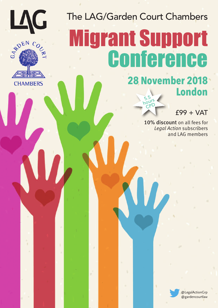



# The LAG/Garden Court Chambers **Migrant Support** Conference

## **28 November 2018 London** 5.5

hours  $\overline{CP}$ 

£99 + VAT

10% discount on all fees for Legal Action subscribers and LAG members

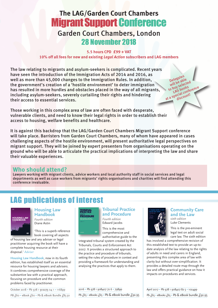# **The LAG/Garden Court Chambers Migrant Support Conference** Garden Court Chambers, London 28 November 2018

#### **5.5 hours CPD £99 + VAT 10% off all fees for new and existing** *Legal Action* **subscribers and LAG members**

The law relating to migrants and asylum-seekers is complicated. Recent years have seen the introduction of the Immigration Acts of 2014 and 2016, as well as more than 45,000 changes to the Immigration Rules. In addition, the government's creation of a 'hostile environment' to deter immigration has resulted in more hurdles and obstacles placed in the way of all migrants, including asylum-seekers, severely curtailing their rights and hindering their access to essential services.

Those working in this complex area of law are often faced with desperate, vulnerable clients, and need to know their legal rights in order to establish their access to housing, welfare benefits and healthcare.

It is against this backdrop that the LAG/Garden Court Chambers Migrant Support conference will take place. Barristers from Garden Court Chambers, many of whom have appeared in cases challenging aspects of the hostile environment, will present authoritative legal perspectives on migrant support. They will be joined by expert presenters from organisations operating on the ground who will be able to articulate the practical implications of interpreting the law and share their valuable experiences.

## **Who should attend?**

Lawyers working with migrant clients, advice workers and local authority staff in social services and legal departments as well as case workers from migrants' rights organisations and charities will find attending this conference invaluable.

# LAG publications of interest



## **Housing Law Handbook**

*Fourth edition* Diane Astin

'This is a superb reference book covering all aspects

of housing law and any adviser or legal practitioner acquiring the book will have a complete housing resource at their disposal.' *Adviser*

**Housing Law Handbook**, now in its fourth edition, has established itself as an essential resource for housing lawyers and advisers. It combines comprehensive coverage of the substantive law with a practical approach, focusing on procedure and the common problems faced by practitioner.

October 2018 • Pb 978 1 912273 04 1 • 1168pp

PB £60 · eBook £60 · Pb & eBook Bundle £85.50



## **Tribunal Practice and Procedure**

*Fourth edition* Edward Jacobs

This is the most comprehensive and authoritative guide to the

integrated tribunal system created by the Tribunals, Courts and Enforcement Act 2007. It provides a structured approach to the practice and procedure of tribunals, setting the rules of procedure in context and providing a framework for understanding and analysing the practices that apply to them.

2016 • Pb 978 1 908407 72 6 • 798pp

Pb £65 · eBooks £65 · Pb & eBook bundle £92.95



## **Community Care and the Law** *sixth edition*

Luke Clements

Delegates will be able to buy selected

to buy Spooks<br>LAG bookseemee<br>at a special count!

This is the pre-eminent legal text on adult social care law. The sixth edition

has involved a comprehensive revision of this established text to provide an up-todate analysis of the law relating to the rights of adults in need and carers in England, presenting this complex area of law with clarity but without over-simplification. It provides a detailed route map through the law and offers practical guidance on how it impacts on procedures and services.

April 2017 • Pb 978 1 908407 82 5 • 1024pp

Pb £65 · eBooks £65 · Pb & eBook bundle £92.95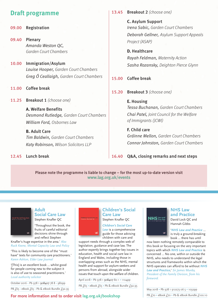## **Draft programme**

- 09.00 Registration
- 09.40 Plenary Amanda Weston QC, Garden Court Chambers
- 10.00 Immigration/Asylum Louise Hooper, Garden Court Chambers Greg Ó Ceallaigh, Garden Court Chambers
- 11.00 Coffee break
- 11.25 Breakout 1 (choose one)

**A.** Welfare Benefits Desmond Rutledge, Garden Court Chambers William Ford, Osbornes Law

**B.** Adult Care Tim Baldwin, Garden Court Chambers Katy Robinson, Wilson Solicitors LLP

## 12.45 Lunch break

13.45 Breakout 2 (choose one)

**C.** Asylum Support Irena Sabic, Garden Court Chambers Deborah Gellner, Asylum Support Appeals Project (ASAP)

**D.** Healthcare Rayah Feldman, Maternity Action Sasha Rozansky, Deighton Pierce Glynn

## 15.00 Coffee break

15.20 Breakout 3 (choose one)

## **E.** Housing

Tessa Buchanan, Garden Court Chambers Chai Patel, Joint Council for the Welfare of Immigrants (JCWI)

## **F.** Child care

Gráinne Mellon, Garden Court Chambers Connor Johnston, Garden Court Chambers

16.40 Q&A, closing remarks and next steps

Please note the programme is liable to change – for the most up-to-date version visit **www.lag.org.uk/events**



## **Adult Social Care Law**

Stephen Knafler QC

'Throughout the book, the fruits of careful editorial decisions shine through and reflect Stephen

Knafler's huge expertise in the area.' *Alex Ruck Keene, Mental Capacity Law and Policy*

'This is likely to become one of the "must have" texts for community care practitioners.' *Karen Ashton, Elder Law Journal*

'[This] is an excellent book … whilst good for people coming new to the subject it is also of use to seasoned practitioners.' *Local authority solicitor*

October 2016 • Pb 978 1 908407 78 8 • 982pp

PB £65 · eBook £65 · Pb & eBook Bundle £92.95



## **Children's Social Care Law**

Stephen Knafler QC

*Children's Social Care Law* is a comprehensive guide for those advising children with care and

support needs through a complex web of legislation, guidance and case law. The author expertly brings together key issues in education, health and social care law in England and Wales, including those in overlapping areas such as the NHS, mental health and support for asylum-seekers and persons from abroad, alongside wider issues that touch upon the welfare of children.

April 2018 • Pb 978 1 908407 80 1 • 1104pp

PB  $f65 \cdot$  eBook  $f65 \cdot$  Pb & eBook Bundle  $f92.95$ 



#### **NHS Law and Practice** David Lock QC and Hannah Gibbs

'*NHS Law and Practice* … is truly a ground-breaking book … there has until

now been nothing remotely comparable to this book or focusing on the very important topics with which *NHS Law and Practice* is concerned … No one, within or outside the NHS, who needs to understand the legal structures and frameworks within which the NHS operates can afford to be without *NHS Law and Practice***.**' *Sir James Munby, President of the Family Division, from his foreword.*

May 2018 • Pb 978 1 912273 06 5 • 1032pp

PB  $f$ 70 • eBook  $f$ 70 • Pb & eBook Bundle  $f$ 100.10

**For more information and to order visit lag.org.uk/bookshop**